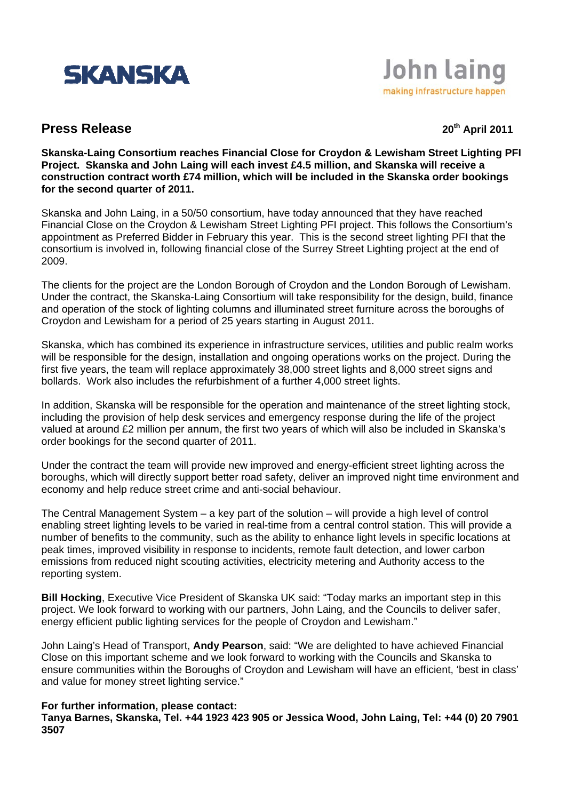



## **Press Release 20th April 2011**

**Skanska-Laing Consortium reaches Financial Close for Croydon & Lewisham Street Lighting PFI Project. Skanska and John Laing will each invest £4.5 million, and Skanska will receive a construction contract worth £74 million, which will be included in the Skanska order bookings for the second quarter of 2011.** 

Skanska and John Laing, in a 50/50 consortium, have today announced that they have reached Financial Close on the Croydon & Lewisham Street Lighting PFI project. This follows the Consortium's appointment as Preferred Bidder in February this year. This is the second street lighting PFI that the consortium is involved in, following financial close of the Surrey Street Lighting project at the end of 2009.

The clients for the project are the London Borough of Croydon and the London Borough of Lewisham. Under the contract, the Skanska-Laing Consortium will take responsibility for the design, build, finance and operation of the stock of lighting columns and illuminated street furniture across the boroughs of Croydon and Lewisham for a period of 25 years starting in August 2011.

Skanska, which has combined its experience in infrastructure services, utilities and public realm works will be responsible for the design, installation and ongoing operations works on the project. During the first five years, the team will replace approximately 38,000 street lights and 8,000 street signs and bollards. Work also includes the refurbishment of a further 4,000 street lights.

In addition, Skanska will be responsible for the operation and maintenance of the street lighting stock, including the provision of help desk services and emergency response during the life of the project valued at around £2 million per annum, the first two years of which will also be included in Skanska's order bookings for the second quarter of 2011.

Under the contract the team will provide new improved and energy-efficient street lighting across the boroughs, which will directly support better road safety, deliver an improved night time environment and economy and help reduce street crime and anti-social behaviour.

The Central Management System – a key part of the solution – will provide a high level of control enabling street lighting levels to be varied in real-time from a central control station. This will provide a number of benefits to the community, such as the ability to enhance light levels in specific locations at peak times, improved visibility in response to incidents, remote fault detection, and lower carbon emissions from reduced night scouting activities, electricity metering and Authority access to the reporting system.

**Bill Hocking**, Executive Vice President of Skanska UK said: "Today marks an important step in this project. We look forward to working with our partners, John Laing, and the Councils to deliver safer, energy efficient public lighting services for the people of Croydon and Lewisham."

John Laing's Head of Transport, **Andy Pearson**, said: "We are delighted to have achieved Financial Close on this important scheme and we look forward to working with the Councils and Skanska to ensure communities within the Boroughs of Croydon and Lewisham will have an efficient, 'best in class' and value for money street lighting service."

## **For further information, please contact:**

**Tanya Barnes, Skanska, Tel. +44 1923 423 905 or Jessica Wood, John Laing, Tel: +44 (0) 20 7901 3507**